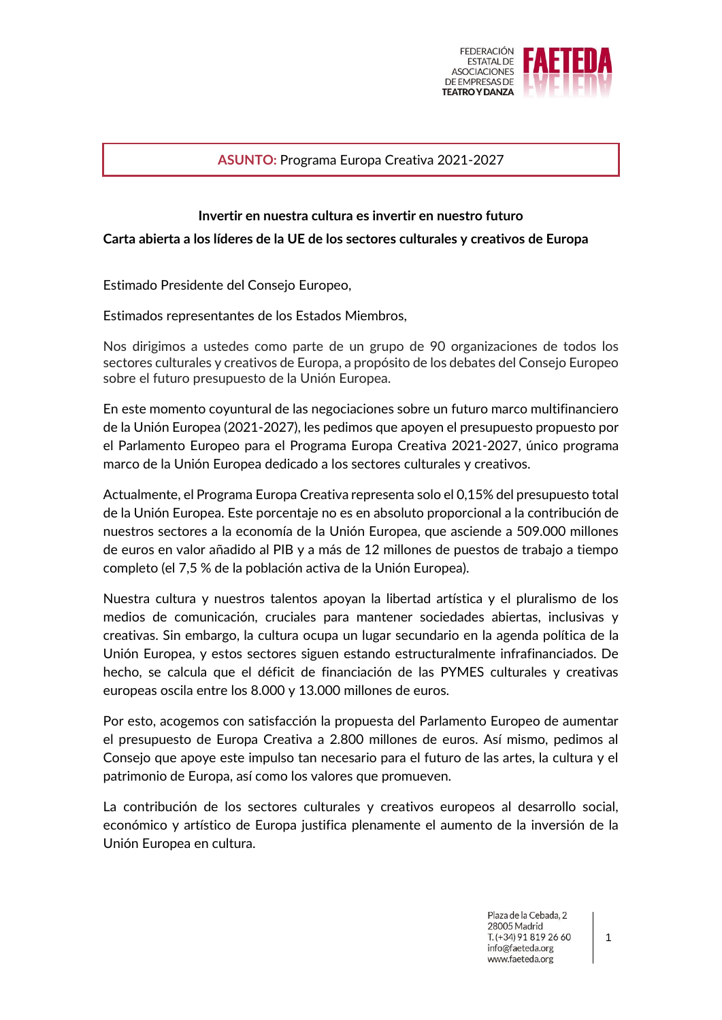

## **ASUNTO:** Programa Europa Creativa 2021-2027

## **Invertir en nuestra cultura es invertir en nuestro futuro**

## **Carta abierta a los líderes de la UE de los sectores culturales y creativos de Europa**

Estimado Presidente del Consejo Europeo,

Estimados representantes de los Estados Miembros,

Nos dirigimos a ustedes como parte de un grupo de 90 organizaciones de todos los sectores culturales y creativos de Europa, a propósito de los debates del Consejo Europeo sobre el futuro presupuesto de la Unión Europea.

En este momento coyuntural de las negociaciones sobre un futuro marco multifinanciero de la Unión Europea (2021-2027), les pedimos que apoyen el presupuesto propuesto por el Parlamento Europeo para el Programa Europa Creativa 2021-2027, único programa marco de la Unión Europea dedicado a los sectores culturales y creativos.

Actualmente, el Programa Europa Creativa representa solo el 0,15% del presupuesto total de la Unión Europea. Este porcentaje no es en absoluto proporcional a la contribución de nuestros sectores a la economía de la Unión Europea, que asciende a 509.000 millones de euros en valor añadido al PIB y a más de 12 millones de puestos de trabajo a tiempo completo (el 7,5 % de la población activa de la Unión Europea).

Nuestra cultura y nuestros talentos apoyan la libertad artística y el pluralismo de los medios de comunicación, cruciales para mantener sociedades abiertas, inclusivas y creativas. Sin embargo, la cultura ocupa un lugar secundario en la agenda política de la Unión Europea, y estos sectores siguen estando estructuralmente infrafinanciados. De hecho, se calcula que el déficit de financiación de las PYMES culturales y creativas europeas oscila entre los 8.000 y 13.000 millones de euros.

Por esto, acogemos con satisfacción la propuesta del Parlamento Europeo de aumentar el presupuesto de Europa Creativa a 2.800 millones de euros. Así mismo, pedimos al Consejo que apoye este impulso tan necesario para el futuro de las artes, la cultura y el patrimonio de Europa, así como los valores que promueven.

La contribución de los sectores culturales y creativos europeos al desarrollo social, económico y artístico de Europa justifica plenamente el aumento de la inversión de la Unión Europea en cultura.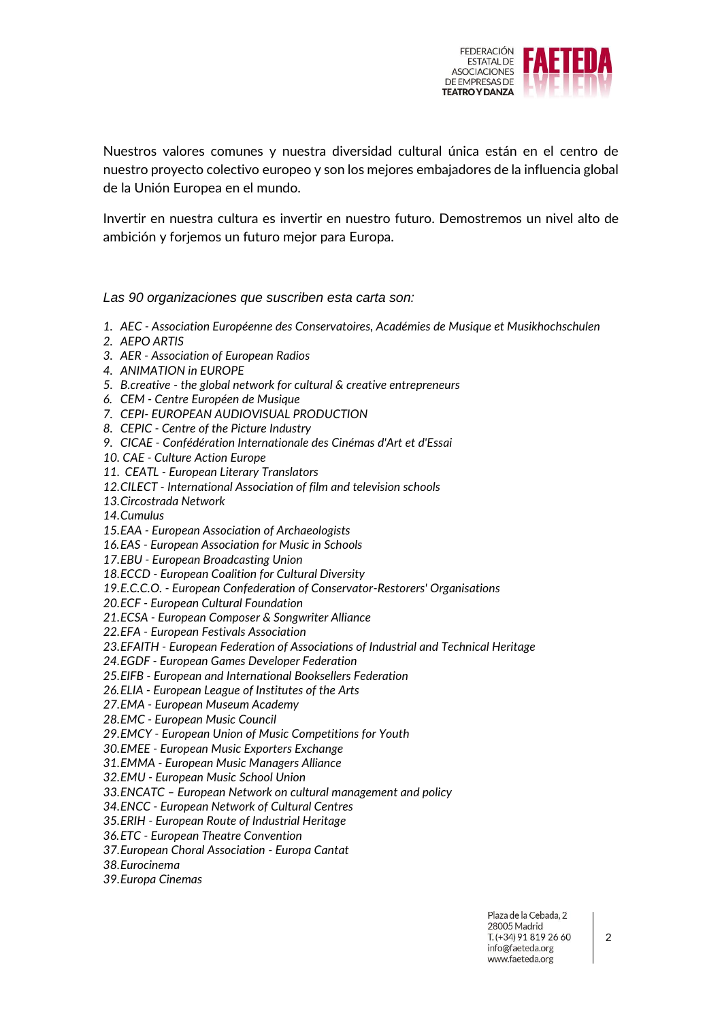

Nuestros valores comunes y nuestra diversidad cultural única están en el centro de nuestro proyecto colectivo europeo y son los mejores embajadores de la influencia global de la Unión Europea en el mundo.

Invertir en nuestra cultura es invertir en nuestro futuro. Demostremos un nivel alto de ambición y forjemos un futuro mejor para Europa.

*Las 90 organizaciones que suscriben esta carta son:*

- *1. AEC - Association Européenne des Conservatoires, Académies de Musique et Musikhochschulen*
- *2. AEPO ARTIS*
- *3. AER - Association of European Radios*
- *4. ANIMATION in EUROPE*
- *5. B.creative - the global network for cultural & creative entrepreneurs*
- *6. CEM - Centre Européen de Musique*
- *7. CEPI- EUROPEAN AUDIOVISUAL PRODUCTION*
- *8. CEPIC - Centre of the Picture Industry*
- *9. CICAE - Confédération Internationale des Cinémas d'Art et d'Essai*
- *10. CAE - Culture Action Europe*
- *11. CEATL - European Literary Translators*
- *12.CILECT - International Association of film and television schools*
- *13.Circostrada Network*
- *14.Cumulus*
- *15.EAA - European Association of Archaeologists*
- *16.EAS - European Association for Music in Schools*
- *17.EBU - European Broadcasting Union*
- *18.ECCD - European Coalition for Cultural Diversity*
- *19.E.C.C.O. - European Confederation of Conservator-Restorers' Organisations*
- *20.ECF - European Cultural Foundation*
- *21.ECSA - European Composer & Songwriter Alliance*
- *22.EFA - European Festivals Association*
- *23.EFAITH - European Federation of Associations of Industrial and Technical Heritage*
- *24.EGDF - European Games Developer Federation*
- *25.EIFB - European and International Booksellers Federation*
- *26.ELIA - European League of Institutes of the Arts*
- *27.EMA - European Museum Academy*
- *28.EMC - European Music Council*
- *29.EMCY - European Union of Music Competitions for Youth*
- *30.EMEE - European Music Exporters Exchange*
- *31.EMMA - European Music Managers Alliance*
- *32.EMU - European Music School Union*
- *33.ENCATC – European Network on cultural management and policy*
- *34.ENCC - European Network of Cultural Centres*
- *35.ERIH - European Route of Industrial Heritage*
- *36.ETC - European Theatre Convention*
- *37.European Choral Association - Europa Cantat*
- *38.Eurocinema*
- *39.Europa Cinemas*